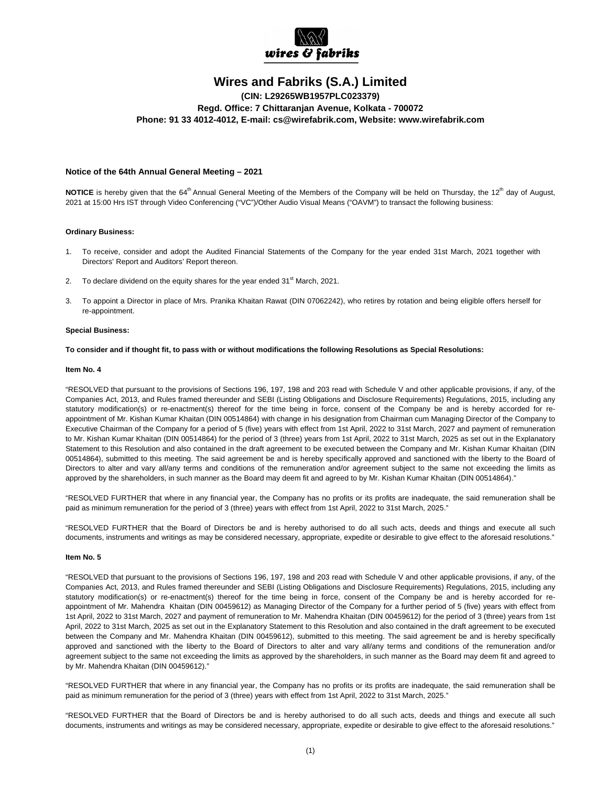

# **Wires and Fabriks (S.A.) Limited**

**(CIN: L29265WB1957PLC023379) Regd. Office: 7 Chittaranjan Avenue, Kolkata - 700072 Phone: 91 33 4012-4012, E-mail: cs@wirefabrik.com, Website: www.wirefabrik.com**

## **Notice of the 64th Annual General Meeting – 2021**

**NOTICE** is hereby given that the 64<sup>th</sup> Annual General Meeting of the Members of the Company will be held on Thursday, the 12<sup>th</sup> day of August, 2021 at 15:00 Hrs IST through Video Conferencing ("VC")/Other Audio Visual Means ("OAVM") to transact the following business:

#### **Ordinary Business:**

- 1. To receive, consider and adopt the Audited Financial Statements of the Company for the year ended 31st March, 2021 together with Directors' Report and Auditors' Report thereon.
- 2. To declare dividend on the equity shares for the year ended  $31<sup>st</sup>$  March, 2021.
- 3. To appoint a Director in place of Mrs. Pranika Khaitan Rawat (DIN 07062242), who retires by rotation and being eligible offers herself for re-appointment.

#### **Special Business:**

#### **To consider and if thought fit, to pass with or without modifications the following Resolutions as Special Resolutions:**

### **Item No. 4**

"RESOLVED that pursuant to the provisions of Sections 196, 197, 198 and 203 read with Schedule V and other applicable provisions, if any, of the Companies Act, 2013, and Rules framed thereunder and SEBI (Listing Obligations and Disclosure Requirements) Regulations, 2015, including any statutory modification(s) or re-enactment(s) thereof for the time being in force, consent of the Company be and is hereby accorded for reappointment of Mr. Kishan Kumar Khaitan (DIN 00514864) with change in his designation from Chairman cum Managing Director of the Company to Executive Chairman of the Company for a period of 5 (five) years with effect from 1st April, 2022 to 31st March, 2027 and payment of remuneration to Mr. Kishan Kumar Khaitan (DIN 00514864) for the period of 3 (three) years from 1st April, 2022 to 31st March, 2025 as set out in the Explanatory Statement to this Resolution and also contained in the draft agreement to be executed between the Company and Mr. Kishan Kumar Khaitan (DIN 00514864), submitted to this meeting. The said agreement be and is hereby specifically approved and sanctioned with the liberty to the Board of Directors to alter and vary all/any terms and conditions of the remuneration and/or agreement subject to the same not exceeding the limits as approved by the shareholders, in such manner as the Board may deem fit and agreed to by Mr. Kishan Kumar Khaitan (DIN 00514864)."

"RESOLVED FURTHER that where in any financial year, the Company has no profits or its profits are inadequate, the said remuneration shall be paid as minimum remuneration for the period of 3 (three) years with effect from 1st April, 2022 to 31st March, 2025."

"RESOLVED FURTHER that the Board of Directors be and is hereby authorised to do all such acts, deeds and things and execute all such documents, instruments and writings as may be considered necessary, appropriate, expedite or desirable to give effect to the aforesaid resolutions."

#### **Item No. 5**

"RESOLVED that pursuant to the provisions of Sections 196, 197, 198 and 203 read with Schedule V and other applicable provisions, if any, of the Companies Act, 2013, and Rules framed thereunder and SEBI (Listing Obligations and Disclosure Requirements) Regulations, 2015, including any statutory modification(s) or re-enactment(s) thereof for the time being in force, consent of the Company be and is hereby accorded for reappointment of Mr. Mahendra Khaitan (DIN 00459612) as Managing Director of the Company for a further period of 5 (five) years with effect from 1st April, 2022 to 31st March, 2027 and payment of remuneration to Mr. Mahendra Khaitan (DIN 00459612) for the period of 3 (three) years from 1st April, 2022 to 31st March, 2025 as set out in the Explanatory Statement to this Resolution and also contained in the draft agreement to be executed between the Company and Mr. Mahendra Khaitan (DIN 00459612), submitted to this meeting. The said agreement be and is hereby specifically approved and sanctioned with the liberty to the Board of Directors to alter and vary all/any terms and conditions of the remuneration and/or agreement subject to the same not exceeding the limits as approved by the shareholders, in such manner as the Board may deem fit and agreed to by Mr. Mahendra Khaitan (DIN 00459612)."

"RESOLVED FURTHER that where in any financial year, the Company has no profits or its profits are inadequate, the said remuneration shall be paid as minimum remuneration for the period of 3 (three) years with effect from 1st April, 2022 to 31st March, 2025."

"RESOLVED FURTHER that the Board of Directors be and is hereby authorised to do all such acts, deeds and things and execute all such documents, instruments and writings as may be considered necessary, appropriate, expedite or desirable to give effect to the aforesaid resolutions."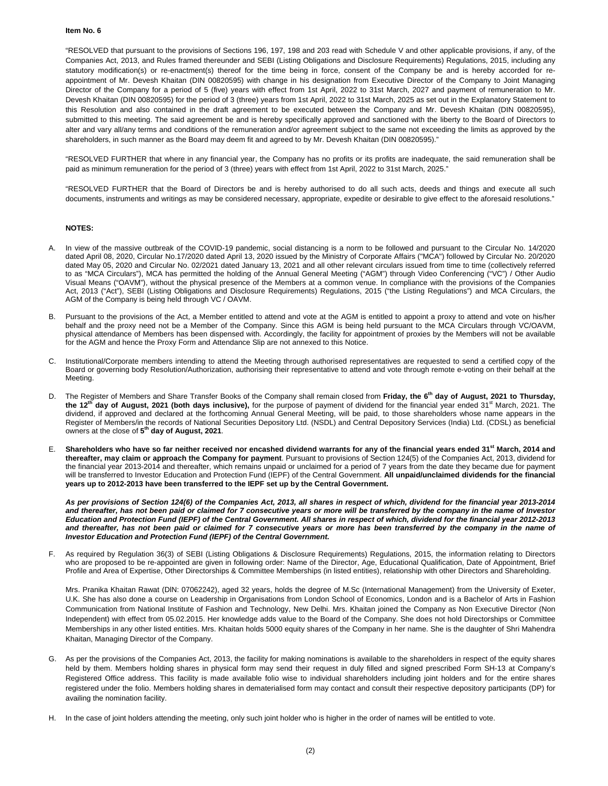#### **Item No. 6**

"RESOLVED that pursuant to the provisions of Sections 196, 197, 198 and 203 read with Schedule V and other applicable provisions, if any, of the Companies Act, 2013, and Rules framed thereunder and SEBI (Listing Obligations and Disclosure Requirements) Regulations, 2015, including any statutory modification(s) or re-enactment(s) thereof for the time being in force, consent of the Company be and is hereby accorded for reappointment of Mr. Devesh Khaitan (DIN 00820595) with change in his designation from Executive Director of the Company to Joint Managing Director of the Company for a period of 5 (five) years with effect from 1st April, 2022 to 31st March, 2027 and payment of remuneration to Mr. Devesh Khaitan (DIN 00820595) for the period of 3 (three) years from 1st April, 2022 to 31st March, 2025 as set out in the Explanatory Statement to this Resolution and also contained in the draft agreement to be executed between the Company and Mr. Devesh Khaitan (DIN 00820595), submitted to this meeting. The said agreement be and is hereby specifically approved and sanctioned with the liberty to the Board of Directors to alter and vary all/any terms and conditions of the remuneration and/or agreement subject to the same not exceeding the limits as approved by the shareholders, in such manner as the Board may deem fit and agreed to by Mr. Devesh Khaitan (DIN 00820595)."

"RESOLVED FURTHER that where in any financial year, the Company has no profits or its profits are inadequate, the said remuneration shall be paid as minimum remuneration for the period of 3 (three) years with effect from 1st April, 2022 to 31st March, 2025."

"RESOLVED FURTHER that the Board of Directors be and is hereby authorised to do all such acts, deeds and things and execute all such documents, instruments and writings as may be considered necessary, appropriate, expedite or desirable to give effect to the aforesaid resolutions."

## **NOTES:**

- In view of the massive outbreak of the COVID-19 pandemic, social distancing is a norm to be followed and pursuant to the Circular No. 14/2020 dated April 08, 2020, Circular No.17/2020 dated April 13, 2020 issued by the Ministry of Corporate Affairs ("MCA") followed by Circular No. 20/2020 dated May 05, 2020 and Circular No. 02/2021 dated January 13, 2021 and all other relevant circulars issued from time to time (collectively referred to as "MCA Circulars"), MCA has permitted the holding of the Annual General Meeting ("AGM") through Video Conferencing ("VC") / Other Audio Visual Means ("OAVM"), without the physical presence of the Members at a common venue. In compliance with the provisions of the Companies Act, 2013 ("Act"), SEBI (Listing Obligations and Disclosure Requirements) Regulations, 2015 ("the Listing Regulations") and MCA Circulars, the AGM of the Company is being held through VC / OAVM.
- B. Pursuant to the provisions of the Act, a Member entitled to attend and vote at the AGM is entitled to appoint a proxy to attend and vote on his/her behalf and the proxy need not be a Member of the Company. Since this AGM is being held pursuant to the MCA Circulars through VC/OAVM, physical attendance of Members has been dispensed with. Accordingly, the facility for appointment of proxies by the Members will not be available for the AGM and hence the Proxy Form and Attendance Slip are not annexed to this Notice.
- C. Institutional/Corporate members intending to attend the Meeting through authorised representatives are requested to send a certified copy of the Board or governing body Resolution/Authorization, authorising their representative to attend and vote through remote e-voting on their behalf at the Meeting.
- D. The Register of Members and Share Transfer Books of the Company shall remain closed from Friday, the 6<sup>th</sup> day of August, 2021 to Thursday, the 12<sup>th</sup> day of August, 2021 (both days inclusive), for the purpose of payment of dividend for the financial year ended 31<sup>st</sup> March, 2021. The dividend, if approved and declared at the forthcoming Annual General Meeting, will be paid, to those shareholders whose name appears in the Register of Members/in the records of National Securities Depository Ltd. (NSDL) and Central Depository Services (India) Ltd. (CDSL) as beneficial owners at the close of **5th day of August, 2021**.
- E. **Shareholders who have so far neither received nor encashed dividend warrants for any of the financial years ended 31st March, 2014 and thereafter, may claim or approach the Company for payment**. Pursuant to provisions of Section 124(5) of the Companies Act, 2013, dividend for the financial year 2013-2014 and thereafter, which remains unpaid or unclaimed for a period of 7 years from the date they became due for payment will be transferred to Investor Education and Protection Fund (IEPF) of the Central Government. **All unpaid/unclaimed dividends for the financial years up to 2012-2013 have been transferred to the IEPF set up by the Central Government.**

*As per provisions of Section 124(6) of the Companies Act, 2013, all shares in respect of which, dividend for the financial year 2013-2014 and thereafter, has not been paid or claimed for 7 consecutive years or more will be transferred by the company in the name of Investor Education and Protection Fund (IEPF) of the Central Government. All shares in respect of which, dividend for the financial year 2012-2013 and thereafter, has not been paid or claimed for 7 consecutive years or more has been transferred by the company in the name of Investor Education and Protection Fund (IEPF) of the Central Government.* 

F. As required by Regulation 36(3) of SEBI (Listing Obligations & Disclosure Requirements) Regulations, 2015, the information relating to Directors who are proposed to be re-appointed are given in following order: Name of the Director, Age, Educational Qualification, Date of Appointment, Brief Profile and Area of Expertise, Other Directorships & Committee Memberships (in listed entities), relationship with other Directors and Shareholding.

Mrs. Pranika Khaitan Rawat (DlN: 07062242), aged 32 years, holds the degree of M.Sc (International Management) from the University of Exeter, U.K. She has also done a course on Leadership in Organisations from London School of Economics, London and is a Bachelor of Arts in Fashion Communication from National Institute of Fashion and Technology, New Delhi. Mrs. Khaitan joined the Company as Non Executive Director (Non Independent) with effect from 05.02.2015. Her knowledge adds value to the Board of the Company. She does not hold Directorships or Committee Memberships in any other listed entities. Mrs. Khaitan holds 5000 equity shares of the Company in her name. She is the daughter of Shri Mahendra Khaitan, Managing Director of the Company.

- G. As per the provisions of the Companies Act, 2013, the facility for making nominations is available to the shareholders in respect of the equity shares held by them. Members holding shares in physical form may send their request in duly filled and signed prescribed Form SH-13 at Company's Registered Office address. This facility is made available folio wise to individual shareholders including joint holders and for the entire shares registered under the folio. Members holding shares in dematerialised form may contact and consult their respective depository participants (DP) for availing the nomination facility.
- H. In the case of joint holders attending the meeting, only such joint holder who is higher in the order of names will be entitled to vote.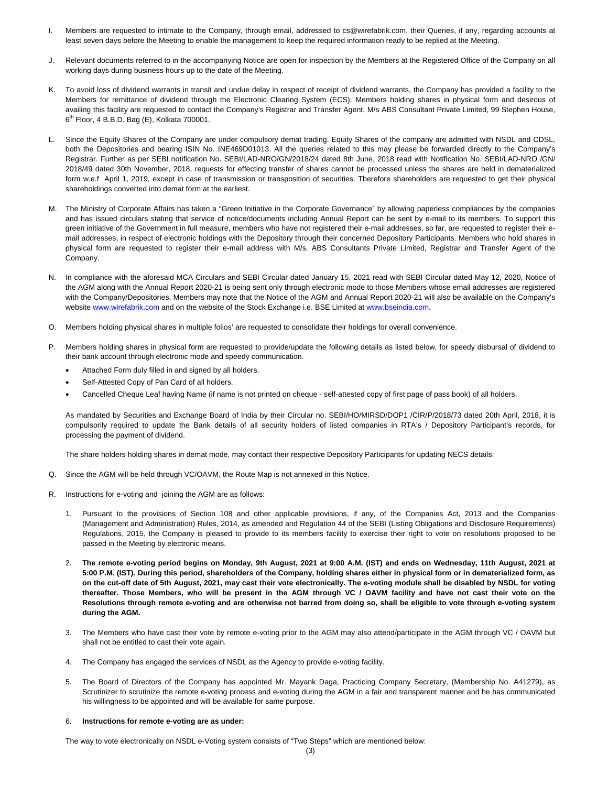- I. Members are requested to intimate to the Company, through email, addressed to cs@wirefabrik.com, their Queries, if any, regarding accounts at least seven days before the Meeting to enable the management to keep the required information ready to be replied at the Meeting.
- J. Relevant documents referred to in the accompanying Notice are open for inspection by the Members at the Registered Office of the Company on all working days during business hours up to the date of the Meeting.
- K. To avoid loss of dividend warrants in transit and undue delay in respect of receipt of dividend warrants, the Company has provided a facility to the Members for remittance of dividend through the Electronic Clearing System (ECS). Members holding shares in physical form and desirous of availing this facility are requested to contact the Company's Registrar and Transfer Agent, M/s ABS Consultant Private Limited, 99 Stephen House,  $6<sup>th</sup>$  Floor, 4 B.B.D. Bag (E), Kolkata 700001.
- L. Since the Equity Shares of the Company are under compulsory demat trading. Equity Shares of the company are admitted with NSDL and CDSL, both the Depositories and bearing ISIN No. INE469D01013. All the queries related to this may please be forwarded directly to the Company's Registrar. Further as per SEBI notification No. SEBI/LAD-NRO/GN/2018/24 dated 8th June, 2018 read with Notification No. SEBI/LAD-NRO /GN/ 2018/49 dated 30th November, 2018, requests for effecting transfer of shares cannot be processed unless the shares are held in dematerialized form w.e.f April 1, 2019, except in case of transmission or transposition of securities. Therefore shareholders are requested to get their physical shareholdings converted into demat form at the earliest.
- M. The Ministry of Corporate Affairs has taken a "Green Initiative in the Corporate Governance" by allowing paperless compliances by the companies and has issued circulars stating that service of notice/documents including Annual Report can be sent by e-mail to its members. To support this green initiative of the Government in full measure, members who have not registered their e-mail addresses, so far, are requested to register their email addresses, in respect of electronic holdings with the Depository through their concerned Depository Participants. Members who hold shares in physical form are requested to register their e-mail address with M/s. ABS Consultants Private Limited, Registrar and Transfer Agent of the Company.
- N. In compliance with the aforesaid MCA Circulars and SEBI Circular dated January 15, 2021 read with SEBI Circular dated May 12, 2020, Notice of the AGM along with the Annual Report 2020-21 is being sent only through electronic mode to those Members whose email addresses are registered with the Company/Depositories. Members may note that the Notice of the AGM and Annual Report 2020-21 will also be available on the Company's website www.wirefabrik.com and on the website of the Stock Exchange i.e. BSE Limited at www.bseindia.com.
- O. Members holding physical shares in multiple folios' are requested to consolidate their holdings for overall convenience.
- P. Members holding shares in physical form are requested to provide/update the following details as listed below, for speedy disbursal of dividend to their bank account through electronic mode and speedy communication.
	- Attached Form duly filled in and signed by all holders.
	- Self-Attested Copy of Pan Card of all holders.
	- Cancelled Cheque Leaf having Name (if name is not printed on cheque self-attested copy of first page of pass book) of all holders.

As mandated by Securities and Exchange Board of India by their Circular no. SEBI/HO/MIRSD/DOP1 /CIR/P/2018/73 dated 20th April, 2018, it is compulsorily required to update the Bank details of all security holders of listed companies in RTA's / Depository Participant's records, for processing the payment of dividend.

The share holders holding shares in demat mode, may contact their respective Depository Participants for updating NECS details.

- Q. Since the AGM will be held through VC/OAVM, the Route Map is not annexed in this Notice.
- R. Instructions for e-voting and joining the AGM are as follows:
	- 1. Pursuant to the provisions of Section 108 and other applicable provisions, if any, of the Companies Act, 2013 and the Companies (Management and Administration) Rules, 2014, as amended and Regulation 44 of the SEBI (Listing Obligations and Disclosure Requirements) Regulations, 2015, the Company is pleased to provide to its members facility to exercise their right to vote on resolutions proposed to be passed in the Meeting by electronic means.
	- 2. **The remote e-voting period begins on Monday, 9th August, 2021 at 9:00 A.M. (IST) and ends on Wednesday, 11th August, 2021 at 5:00 P.M. (IST). During this period, shareholders of the Company, holding shares either in physical form or in dematerialized form, as on the cut-off date of 5th August, 2021, may cast their vote electronically. The e-voting module shall be disabled by NSDL for voting thereafter. Those Members, who will be present in the AGM through VC / OAVM facility and have not cast their vote on the Resolutions through remote e-voting and are otherwise not barred from doing so, shall be eligible to vote through e-voting system during the AGM.**
	- 3. The Members who have cast their vote by remote e-voting prior to the AGM may also attend/participate in the AGM through VC / OAVM but shall not be entitled to cast their vote again.
	- 4. The Company has engaged the services of NSDL as the Agency to provide e-voting facility.
	- 5. The Board of Directors of the Company has appointed Mr. Mayank Daga, Practicing Company Secretary, (Membership No. A41279), as Scrutinizer to scrutinize the remote e-voting process and e-voting during the AGM in a fair and transparent manner and he has communicated his willingness to be appointed and will be available for same purpose.

#### 6. **Instructions for remote e-voting are as under:**

The way to vote electronically on NSDL e-Voting system consists of "Two Steps" which are mentioned below: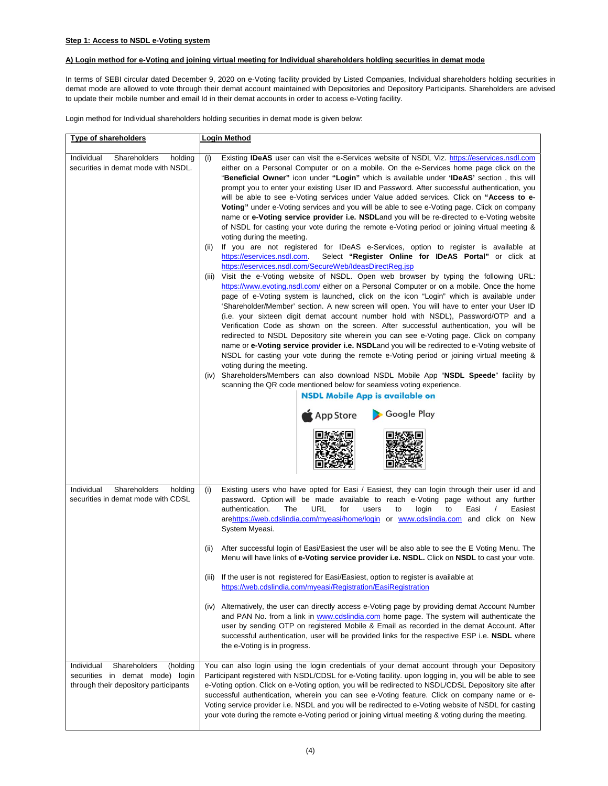# **A) Login method for e-Voting and joining virtual meeting for Individual shareholders holding securities in demat mode**

In terms of SEBI circular dated December 9, 2020 on e-Voting facility provided by Listed Companies, Individual shareholders holding securities in demat mode are allowed to vote through their demat account maintained with Depositories and Depository Participants. Shareholders are advised to update their mobile number and email Id in their demat accounts in order to access e-Voting facility.

Login method for Individual shareholders holding securities in demat mode is given below:

| Type of shareholders                                                                                               | <b>Login Method</b>                                                                                                                                                                                                                                                                                                                                                                                                                                                                                                                                                                                                                                                                                                                                                                                                                                                                                                                                                                                                                                                                                                                                                                                                                                                                                                                                                                                                                                                                                                                                                                                                                                                                                                                                                                                                                                                                                                                                                                                                                                                                                                                                                                         |  |  |
|--------------------------------------------------------------------------------------------------------------------|---------------------------------------------------------------------------------------------------------------------------------------------------------------------------------------------------------------------------------------------------------------------------------------------------------------------------------------------------------------------------------------------------------------------------------------------------------------------------------------------------------------------------------------------------------------------------------------------------------------------------------------------------------------------------------------------------------------------------------------------------------------------------------------------------------------------------------------------------------------------------------------------------------------------------------------------------------------------------------------------------------------------------------------------------------------------------------------------------------------------------------------------------------------------------------------------------------------------------------------------------------------------------------------------------------------------------------------------------------------------------------------------------------------------------------------------------------------------------------------------------------------------------------------------------------------------------------------------------------------------------------------------------------------------------------------------------------------------------------------------------------------------------------------------------------------------------------------------------------------------------------------------------------------------------------------------------------------------------------------------------------------------------------------------------------------------------------------------------------------------------------------------------------------------------------------------|--|--|
| Shareholders<br>Individual<br>holding<br>securities in demat mode with NSDL.                                       | Existing <b>IDeAS</b> user can visit the e-Services website of NSDL Viz. https://eservices.nsdl.com<br>either on a Personal Computer or on a mobile. On the e-Services home page click on the<br>"Beneficial Owner" icon under "Login" which is available under 'IDeAS' section, this will<br>prompt you to enter your existing User ID and Password. After successful authentication, you<br>will be able to see e-Voting services under Value added services. Click on "Access to e-<br>Voting" under e-Voting services and you will be able to see e-Voting page. Click on company<br>name or e-Voting service provider i.e. NSDLand you will be re-directed to e-Voting website<br>of NSDL for casting your vote during the remote e-Voting period or joining virtual meeting &<br>voting during the meeting.<br>If you are not registered for IDeAS e-Services, option to register is available at<br>https://eservices.nsdl.com.<br>Select "Register Online for IDeAS Portal" or click at<br>https://eservices.nsdl.com/SecureWeb/IdeasDirectReg.jsp<br>Visit the e-Voting website of NSDL. Open web browser by typing the following URL:<br>(iii)<br>https://www.evoting.nsdl.com/ either on a Personal Computer or on a mobile. Once the home<br>page of e-Voting system is launched, click on the icon "Login" which is available under<br>'Shareholder/Member' section. A new screen will open. You will have to enter your User ID<br>(i.e. your sixteen digit demat account number hold with NSDL), Password/OTP and a<br>Verification Code as shown on the screen. After successful authentication, you will be<br>redirected to NSDL Depository site wherein you can see e-Voting page. Click on company<br>name or e-Voting service provider i.e. NSDLand you will be redirected to e-Voting website of<br>NSDL for casting your vote during the remote e-Voting period or joining virtual meeting &<br>voting during the meeting.<br>Shareholders/Members can also download NSDL Mobile App "NSDL Speede" facility by<br>(iv)<br>scanning the QR code mentioned below for seamless voting experience.<br><b>NSDL Mobile App is available on</b><br>Google Play<br>App Store |  |  |
| Shareholders<br>Individual<br>holding<br>securities in demat mode with CDSL                                        | Existing users who have opted for Easi / Easiest, they can login through their user id and<br>(i)<br>password. Option will be made available to reach e-Voting page without any further<br>URL<br>for<br>authentication.<br>The<br>users<br>to<br>login<br>to<br>Easi<br>Easiest<br>arehttps://web.cdslindia.com/myeasi/home/login or www.cdslindia.com and click on New<br>System Myeasi.<br>After successful login of Easi/Easiest the user will be also able to see the E Voting Menu. The<br>(ii)<br>Menu will have links of e-Voting service provider i.e. NSDL. Click on NSDL to cast your vote.<br>(iii) If the user is not registered for Easi/Easiest, option to register is available at<br>https://web.cdslindia.com/myeasi/Registration/EasiRegistration<br>Alternatively, the user can directly access e-Voting page by providing demat Account Number<br>(iv)<br>and PAN No. from a link in www.cdslindia.com home page. The system will authenticate the<br>user by sending OTP on registered Mobile & Email as recorded in the demat Account. After<br>successful authentication, user will be provided links for the respective ESP i.e. NSDL where<br>the e-Voting is in progress.                                                                                                                                                                                                                                                                                                                                                                                                                                                                                                                                                                                                                                                                                                                                                                                                                                                                                                                                                                                        |  |  |
| Shareholders<br>Individual<br>(holding<br>securities in demat mode) login<br>through their depository participants | You can also login using the login credentials of your demat account through your Depository<br>Participant registered with NSDL/CDSL for e-Voting facility. upon logging in, you will be able to see<br>e-Voting option. Click on e-Voting option, you will be redirected to NSDL/CDSL Depository site after<br>successful authentication, wherein you can see e-Voting feature. Click on company name or e-<br>Voting service provider i.e. NSDL and you will be redirected to e-Voting website of NSDL for casting<br>your vote during the remote e-Voting period or joining virtual meeting & voting during the meeting.                                                                                                                                                                                                                                                                                                                                                                                                                                                                                                                                                                                                                                                                                                                                                                                                                                                                                                                                                                                                                                                                                                                                                                                                                                                                                                                                                                                                                                                                                                                                                                |  |  |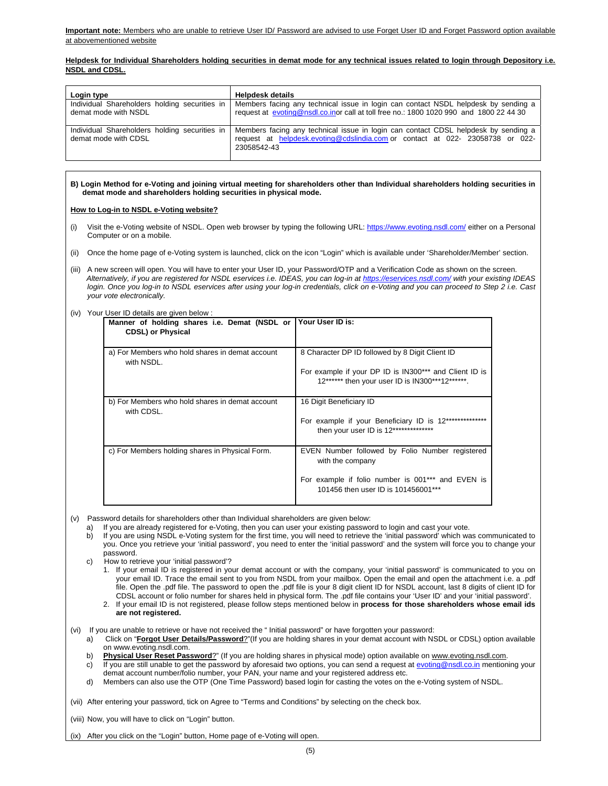## **Helpdesk for Individual Shareholders holding securities in demat mode for any technical issues related to login through Depository i.e. NSDL and CDSL.**

| Login type                                                            | <b>Helpdesk details</b>                                                                                                                                                            |
|-----------------------------------------------------------------------|------------------------------------------------------------------------------------------------------------------------------------------------------------------------------------|
| Individual Shareholders holding securities in<br>demat mode with NSDL | Members facing any technical issue in login can contact NSDL helpdesk by sending a<br>request at evoting@nsdl.co.inor call at toll free no.: 1800 1020 990 and 1800 22 44 30       |
| Individual Shareholders holding securities in<br>demat mode with CDSL | Members facing any technical issue in login can contact CDSL helpdesk by sending a<br>request at helpdesk.evoting@cdslindia.com or contact at 022- 23058738 or 022-<br>23058542-43 |

## **B) Login Method for e-Voting and joining virtual meeting for shareholders other than Individual shareholders holding securities in demat mode and shareholders holding securities in physical mode.**

## **How to Log-in to NSDL e-Voting website?**

- (i) Visit the e-Voting website of NSDL. Open web browser by typing the following URL: https://www.evoting.nsdl.com/ either on a Personal Computer or on a mobile.
- (ii) Once the home page of e-Voting system is launched, click on the icon "Login" which is available under 'Shareholder/Member' section.
- (iii) A new screen will open. You will have to enter your User ID, your Password/OTP and a Verification Code as shown on the screen. *Alternatively, if you are registered for NSDL eservices i.e. IDEAS, you can log-in at https://eservices.nsdl.com/ with your existing IDEAS login. Once you log-in to NSDL eservices after using your log-in credentials, click on e-Voting and you can proceed to Step 2 i.e. Cast your vote electronically.*
- (iv) Your User ID details are given below :

| Manner of holding shares i.e. Demat (NSDL or Your User ID is:<br><b>CDSL) or Physical</b> |                                                                                                                                                                 |
|-------------------------------------------------------------------------------------------|-----------------------------------------------------------------------------------------------------------------------------------------------------------------|
| a) For Members who hold shares in demat account<br>with NSDL.                             | 8 Character DP ID followed by 8 Digit Client ID<br>For example if your DP ID is IN300*** and Client ID is<br>12****** then your user ID is IN300***12******.    |
| b) For Members who hold shares in demat account<br>with CDSL.                             | 16 Digit Beneficiary ID<br>For example if your Beneficiary ID is 12***************<br>then your user ID is 12**************                                     |
| c) For Members holding shares in Physical Form.                                           | EVEN Number followed by Folio Number registered<br>with the company<br>For example if folio number is 001*** and EVEN is<br>101456 then user ID is 101456001*** |

(v) Password details for shareholders other than Individual shareholders are given below:

- If you are already registered for e-Voting, then you can user your existing password to login and cast your vote.
- b) If you are using NSDL e-Voting system for the first time, you will need to retrieve the 'initial password' which was communicated to you. Once you retrieve your 'initial password', you need to enter the 'initial password' and the system will force you to change your password.
- c) How to retrieve your 'initial password'?
	- 1. If your email ID is registered in your demat account or with the company, your 'initial password' is communicated to you on your email ID. Trace the email sent to you from NSDL from your mailbox. Open the email and open the attachment i.e. a .pdf file. Open the .pdf file. The password to open the .pdf file is your 8 digit client ID for NSDL account, last 8 digits of client ID for CDSL account or folio number for shares held in physical form. The .pdf file contains your 'User ID' and your 'initial password'.
	- 2. If your email ID is not registered, please follow steps mentioned below in **process for those shareholders whose email ids are not registered.**
- (vi) If you are unable to retrieve or have not received the " Initial password" or have forgotten your password:
	- a) Click on "**Forgot User Details/Password**?"(If you are holding shares in your demat account with NSDL or CDSL) option available on www.evoting.nsdl.com.
	- b) Physical User Reset Password?" (If you are holding shares in physical mode) option available on www.evoting.nsdl.com.
	- c) If you are still unable to get the password by aforesaid two options, you can send a request at evoting@nsdl.co.in mentioning your demat account number/folio number, your PAN, your name and your registered address etc.
	- d) Members can also use the OTP (One Time Password) based login for casting the votes on the e-Voting system of NSDL.

(vii) After entering your password, tick on Agree to "Terms and Conditions" by selecting on the check box.

(viii) Now, you will have to click on "Login" button.

(ix) After you click on the "Login" button, Home page of e-Voting will open.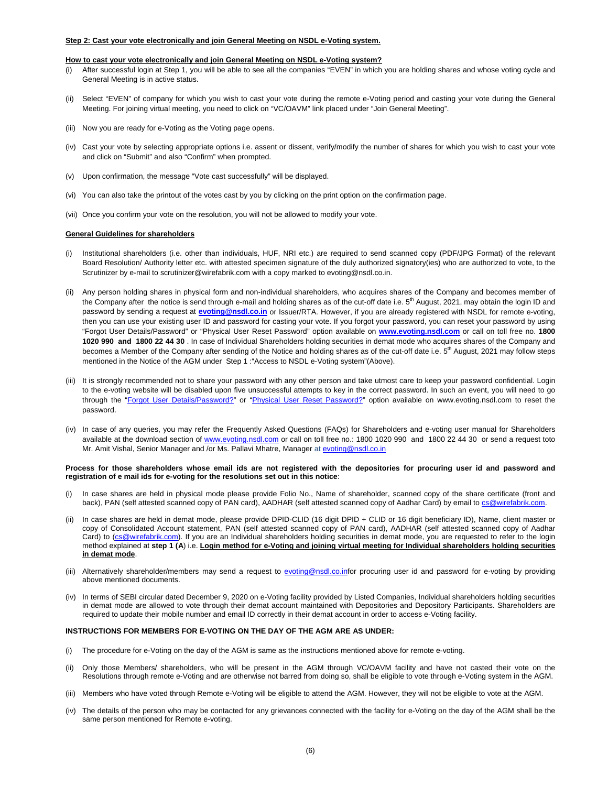#### **Step 2: Cast your vote electronically and join General Meeting on NSDL e-Voting system.**

#### **How to cast your vote electronically and join General Meeting on NSDL e-Voting system?**

- (i) After successful login at Step 1, you will be able to see all the companies "EVEN" in which you are holding shares and whose voting cycle and General Meeting is in active status.
- (ii) Select "EVEN" of company for which you wish to cast your vote during the remote e-Voting period and casting your vote during the General Meeting. For joining virtual meeting, you need to click on "VC/OAVM" link placed under "Join General Meeting".
- (iii) Now you are ready for e-Voting as the Voting page opens.
- (iv) Cast your vote by selecting appropriate options i.e. assent or dissent, verify/modify the number of shares for which you wish to cast your vote and click on "Submit" and also "Confirm" when prompted.
- (v) Upon confirmation, the message "Vote cast successfully" will be displayed.
- (vi) You can also take the printout of the votes cast by you by clicking on the print option on the confirmation page.
- (vii) Once you confirm your vote on the resolution, you will not be allowed to modify your vote.

#### **General Guidelines for shareholders**

- (i) Institutional shareholders (i.e. other than individuals, HUF, NRI etc.) are required to send scanned copy (PDF/JPG Format) of the relevant Board Resolution/ Authority letter etc. with attested specimen signature of the duly authorized signatory(ies) who are authorized to vote, to the Scrutinizer by e-mail to scrutinizer@wirefabrik.com with a copy marked to evoting@nsdl.co.in.
- (ii) Any person holding shares in physical form and non-individual shareholders, who acquires shares of the Company and becomes member of the Company after the notice is send through e-mail and holding shares as of the cut-off date i.e.  $5<sup>th</sup>$  August, 2021, may obtain the login ID and password by sending a request at **evoting@nsdl.co.in** or Issuer/RTA. However, if you are already registered with NSDL for remote e-voting, then you can use your existing user ID and password for casting your vote. If you forgot your password, you can reset your password by using "Forgot User Details/Password" or "Physical User Reset Password" option available on **www.evoting.nsdl.com** or call on toll free no. **1800 1020 990 and 1800 22 44 30** . In case of Individual Shareholders holding securities in demat mode who acquires shares of the Company and becomes a Member of the Company after sending of the Notice and holding shares as of the cut-off date i.e. 5<sup>th</sup> August, 2021 may follow steps mentioned in the Notice of the AGM under Step 1 :"Access to NSDL e-Voting system"(Above).
- (iii) It is strongly recommended not to share your password with any other person and take utmost care to keep your password confidential. Login to the e-voting website will be disabled upon five unsuccessful attempts to key in the correct password. In such an event, you will need to go through the "Forgot User Details/Password?" or "Physical User Reset Password?" option available on www.evoting.nsdl.com to reset the password.
- (iv) In case of any queries, you may refer the Frequently Asked Questions (FAQs) for Shareholders and e-voting user manual for Shareholders available at the download section of www.evoting.nsdl.com or call on toll free no.: 1800 1020 990 and 1800 22 44 30 or send a request toto Mr. Amit Vishal, Senior Manager and /or Ms. Pallavi Mhatre, Manager at evoting@nsdl.co.in

#### **Process for those shareholders whose email ids are not registered with the depositories for procuring user id and password and registration of e mail ids for e-voting for the resolutions set out in this notice**:

- (i) In case shares are held in physical mode please provide Folio No., Name of shareholder, scanned copy of the share certificate (front and back), PAN (self attested scanned copy of PAN card), AADHAR (self attested scanned copy of Aadhar Card) by email to cs@wirefabrik.com.
- (ii) In case shares are held in demat mode, please provide DPID-CLID (16 digit DPID + CLID or 16 digit beneficiary ID), Name, client master or copy of Consolidated Account statement, PAN (self attested scanned copy of PAN card), AADHAR (self attested scanned copy of Aadhar Card) to (cs@wirefabrik.com). If you are an Individual shareholders holding securities in demat mode, you are requested to refer to the login method explained at **step 1 (A**) i.e. **Login method for e-Voting and joining virtual meeting for Individual shareholders holding securities in demat mode**.
- (iii) Alternatively shareholder/members may send a request to evoting@nsdl.co.infor procuring user id and password for e-voting by providing above mentioned documents.
- (iv) In terms of SEBI circular dated December 9, 2020 on e-Voting facility provided by Listed Companies, Individual shareholders holding securities in demat mode are allowed to vote through their demat account maintained with Depositories and Depository Participants. Shareholders are required to update their mobile number and email ID correctly in their demat account in order to access e-Voting facility.

#### **INSTRUCTIONS FOR MEMBERS FOR E-VOTING ON THE DAY OF THE AGM ARE AS UNDER:**

- (i) The procedure for e-Voting on the day of the AGM is same as the instructions mentioned above for remote e-voting.
- (ii) Only those Members/ shareholders, who will be present in the AGM through VC/OAVM facility and have not casted their vote on the Resolutions through remote e-Voting and are otherwise not barred from doing so, shall be eligible to vote through e-Voting system in the AGM.
- (iii) Members who have voted through Remote e-Voting will be eligible to attend the AGM. However, they will not be eligible to vote at the AGM.
- (iv) The details of the person who may be contacted for any grievances connected with the facility for e-Voting on the day of the AGM shall be the same person mentioned for Remote e-voting.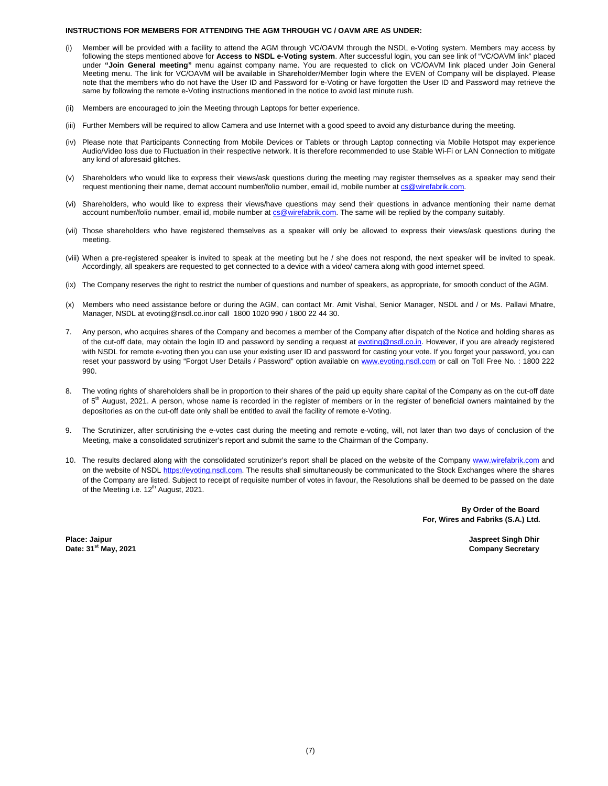#### **INSTRUCTIONS FOR MEMBERS FOR ATTENDING THE AGM THROUGH VC / OAVM ARE AS UNDER:**

- Member will be provided with a facility to attend the AGM through VC/OAVM through the NSDL e-Voting system. Members may access by following the steps mentioned above for **Access to NSDL e-Voting system**. After successful login, you can see link of "VC/OAVM link" placed under **"Join General meeting"** menu against company name. You are requested to click on VC/OAVM link placed under Join General Meeting menu. The link for VC/OAVM will be available in Shareholder/Member login where the EVEN of Company will be displayed. Please note that the members who do not have the User ID and Password for e-Voting or have forgotten the User ID and Password may retrieve the same by following the remote e-Voting instructions mentioned in the notice to avoid last minute rush.
- (ii) Members are encouraged to join the Meeting through Laptops for better experience.
- (iii) Further Members will be required to allow Camera and use Internet with a good speed to avoid any disturbance during the meeting.
- (iv) Please note that Participants Connecting from Mobile Devices or Tablets or through Laptop connecting via Mobile Hotspot may experience Audio/Video loss due to Fluctuation in their respective network. It is therefore recommended to use Stable Wi-Fi or LAN Connection to mitigate any kind of aforesaid glitches.
- (v) Shareholders who would like to express their views/ask questions during the meeting may register themselves as a speaker may send their request mentioning their name, demat account number/folio number, email id, mobile number at cs@wirefabrik.com.
- (vi) Shareholders, who would like to express their views/have questions may send their questions in advance mentioning their name demat account number/folio number, email id, mobile number at cs@wirefabrik.com. The same will be replied by the company suitably.
- (vii) Those shareholders who have registered themselves as a speaker will only be allowed to express their views/ask questions during the meeting.
- (viii) When a pre-registered speaker is invited to speak at the meeting but he / she does not respond, the next speaker will be invited to speak. Accordingly, all speakers are requested to get connected to a device with a video/ camera along with good internet speed.
- (ix) The Company reserves the right to restrict the number of questions and number of speakers, as appropriate, for smooth conduct of the AGM.
- (x) Members who need assistance before or during the AGM, can contact Mr. Amit Vishal, Senior Manager, NSDL and / or Ms. Pallavi Mhatre, Manager, NSDL at evoting@nsdl.co.inor call 1800 1020 990 / 1800 22 44 30.
- 7. Any person, who acquires shares of the Company and becomes a member of the Company after dispatch of the Notice and holding shares as of the cut-off date, may obtain the login ID and password by sending a request at evoting@nsdl.co.in. However, if you are already registered with NSDL for remote e-voting then you can use your existing user ID and password for casting your vote. If you forget your password, you can reset your password by using "Forgot User Details / Password" option available on www.evoting.nsdl.com or call on Toll Free No. : 1800 222 990.
- 8. The voting rights of shareholders shall be in proportion to their shares of the paid up equity share capital of the Company as on the cut-off date of 5<sup>th</sup> August, 2021. A person, whose name is recorded in the register of members or in the register of beneficial owners maintained by the depositories as on the cut-off date only shall be entitled to avail the facility of remote e-Voting.
- 9. The Scrutinizer, after scrutinising the e-votes cast during the meeting and remote e-voting, will, not later than two days of conclusion of the Meeting, make a consolidated scrutinizer's report and submit the same to the Chairman of the Company.
- 10. The results declared along with the consolidated scrutinizer's report shall be placed on the website of the Company www.wirefabrik.com and on the website of NSDL https://evoting.nsdl.com. The results shall simultaneously be communicated to the Stock Exchanges where the shares of the Company are listed. Subject to receipt of requisite number of votes in favour, the Resolutions shall be deemed to be passed on the date of the Meeting i.e. 12<sup>th</sup> August, 2021.

 **By Order of the Board For, Wires and Fabriks (S.A.) Ltd.**

**Place: Jaipur Jaspreet Singh Dhir Place: Jaipur Jaspreet Singh Dhir Jaspreet Singh Dhir Jaspreet Singh Dhir Date: 31st May, 2021 Company Secretary**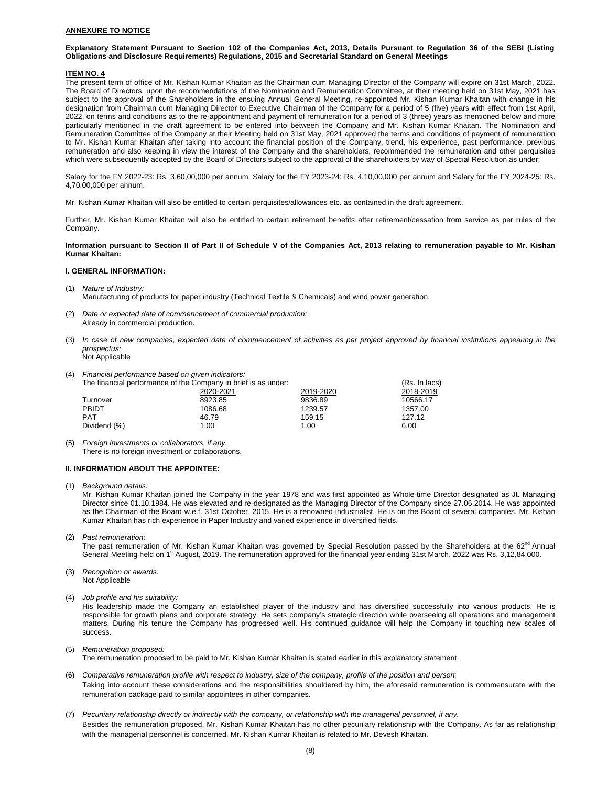## **ANNEXURE TO NOTICE**

#### **Explanatory Statement Pursuant to Section 102 of the Companies Act, 2013, Details Pursuant to Regulation 36 of the SEBI (Listing Obligations and Disclosure Requirements) Regulations, 2015 and Secretarial Standard on General Meetings**

#### **ITEM NO. 4**

The present term of office of Mr. Kishan Kumar Khaitan as the Chairman cum Managing Director of the Company will expire on 31st March, 2022. The Board of Directors, upon the recommendations of the Nomination and Remuneration Committee, at their meeting held on 31st May, 2021 has subject to the approval of the Shareholders in the ensuing Annual General Meeting, re-appointed Mr. Kishan Kumar Khaitan with change in his designation from Chairman cum Managing Director to Executive Chairman of the Company for a period of 5 (five) years with effect from 1st April, 2022, on terms and conditions as to the re-appointment and payment of remuneration for a period of 3 (three) years as mentioned below and more particularly mentioned in the draft agreement to be entered into between the Company and Mr. Kishan Kumar Khaitan. The Nomination and Remuneration Committee of the Company at their Meeting held on 31st May, 2021 approved the terms and conditions of payment of remuneration to Mr. Kishan Kumar Khaitan after taking into account the financial position of the Company, trend, his experience, past performance, previous remuneration and also keeping in view the interest of the Company and the shareholders, recommended the remuneration and other perquisites which were subsequently accepted by the Board of Directors subject to the approval of the shareholders by way of Special Resolution as under:

Salary for the FY 2022-23: Rs. 3,60,00,000 per annum, Salary for the FY 2023-24: Rs. 4,10,00,000 per annum and Salary for the FY 2024-25: Rs. 4,70,00,000 per annum.

Mr. Kishan Kumar Khaitan will also be entitled to certain perquisites/allowances etc. as contained in the draft agreement.

Further, Mr. Kishan Kumar Khaitan will also be entitled to certain retirement benefits after retirement/cessation from service as per rules of the Company.

**Information pursuant to Section II of Part II of Schedule V of the Companies Act, 2013 relating to remuneration payable to Mr. Kishan Kumar Khaitan:** 

#### **I. GENERAL INFORMATION:**

(1) *Nature of Industry:*

Manufacturing of products for paper industry (Technical Textile & Chemicals) and wind power generation.

- (2) *Date or expected date of commencement of commercial production:*  Already in commercial production.
- (3) *In case of new companies, expected date of commencement of activities as per project approved by financial institutions appearing in the prospectus:*  Not Applicable
- 
- (4) *Financial performance based on given indicators:*

| 1 T L | <u>I Indicial performance based on given indicators.</u>       |               |           |           |  |
|-------|----------------------------------------------------------------|---------------|-----------|-----------|--|
|       | The financial performance of the Company in brief is as under: | (Rs. In lacs) |           |           |  |
|       |                                                                | 2020-2021     | 2019-2020 | 2018-2019 |  |
|       | Turnover                                                       | 8923.85       | 9836.89   | 10566.17  |  |
|       | <b>PBIDT</b>                                                   | 1086.68       | 1239.57   | 1357.00   |  |
|       | <b>PAT</b>                                                     | 46.79         | 159.15    | 127.12    |  |
|       | Dividend (%)                                                   | 1.00          | 1.00      | 6.00      |  |
|       |                                                                |               |           |           |  |

<sup>(5)</sup> *Foreign investments or collaborators, if any.*  There is no foreign investment or collaborations.

## **II. INFORMATION ABOUT THE APPOINTEE:**

(1) *Background details:*

Mr. Kishan Kumar Khaitan joined the Company in the year 1978 and was first appointed as Whole-time Director designated as Jt. Managing Director since 01.10.1984. He was elevated and re-designated as the Managing Director of the Company since 27.06.2014. He was appointed as the Chairman of the Board w.e.f. 31st October, 2015. He is a renowned industrialist. He is on the Board of several companies. Mr. Kishan Kumar Khaitan has rich experience in Paper Industry and varied experience in diversified fields.

(2) *Past remuneration:*

The past remuneration of Mr. Kishan Kumar Khaitan was governed by Special Resolution passed by the Shareholders at the 62<sup>nd</sup> Annual General Meeting held on 1<sup>st</sup> August, 2019. The remuneration approved for the financial year ending 31st March, 2022 was Rs. 3,12,84,000.

- (3) *Recognition or awards:* Not Applicable
- (4) *Job profile and his suitability:*

His leadership made the Company an established player of the industry and has diversified successfully into various products. He is responsible for growth plans and corporate strategy. He sets company's strategic direction while overseeing all operations and management matters. During his tenure the Company has progressed well. His continued guidance will help the Company in touching new scales of success.

(5) *Remuneration proposed:*

The remuneration proposed to be paid to Mr. Kishan Kumar Khaitan is stated earlier in this explanatory statement.

- (6) *Comparative remuneration profile with respect to industry, size of the company, profile of the position and person:*  Taking into account these considerations and the responsibilities shouldered by him, the aforesaid remuneration is commensurate with the remuneration package paid to similar appointees in other companies.
- (7) *Pecuniary relationship directly or indirectly with the company, or relationship with the managerial personnel, if any.* Besides the remuneration proposed, Mr. Kishan Kumar Khaitan has no other pecuniary relationship with the Company. As far as relationship with the managerial personnel is concerned, Mr. Kishan Kumar Khaitan is related to Mr. Devesh Khaitan.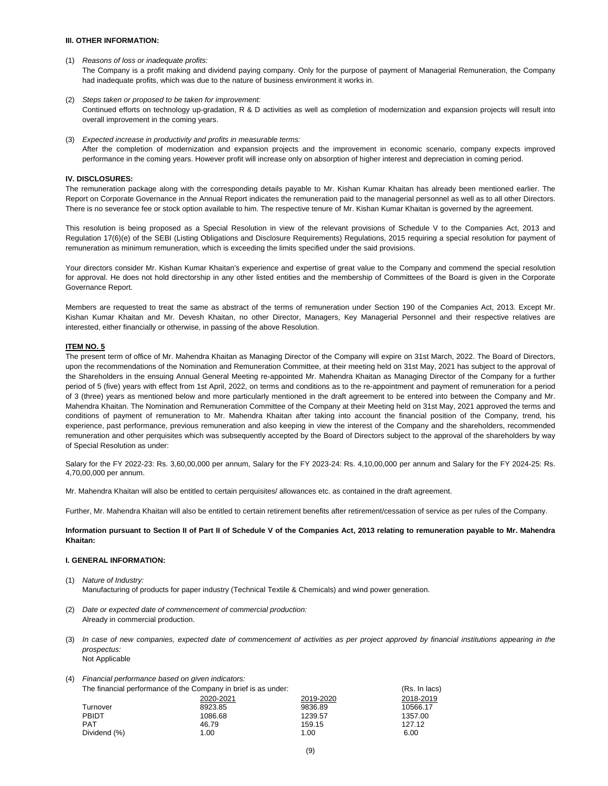## **III. OTHER INFORMATION:**

(1) *Reasons of loss or inadequate profits:* 

The Company is a profit making and dividend paying company. Only for the purpose of payment of Managerial Remuneration, the Company had inadequate profits, which was due to the nature of business environment it works in.

- (2) *Steps taken or proposed to be taken for improvement:* Continued efforts on technology up-gradation, R & D activities as well as completion of modernization and expansion projects will result into overall improvement in the coming years.
- (3) *Expected increase in productivity and profits in measurable terms:* After the completion of modernization and expansion projects and the improvement in economic scenario, company expects improved performance in the coming years. However profit will increase only on absorption of higher interest and depreciation in coming period.

## **IV. DISCLOSURES:**

The remuneration package along with the corresponding details payable to Mr. Kishan Kumar Khaitan has already been mentioned earlier. The Report on Corporate Governance in the Annual Report indicates the remuneration paid to the managerial personnel as well as to all other Directors. There is no severance fee or stock option available to him. The respective tenure of Mr. Kishan Kumar Khaitan is governed by the agreement.

This resolution is being proposed as a Special Resolution in view of the relevant provisions of Schedule V to the Companies Act, 2013 and Regulation 17(6)(e) of the SEBI (Listing Obligations and Disclosure Requirements) Regulations, 2015 requiring a special resolution for payment of remuneration as minimum remuneration, which is exceeding the limits specified under the said provisions.

Your directors consider Mr. Kishan Kumar Khaitan's experience and expertise of great value to the Company and commend the special resolution for approval. He does not hold directorship in any other listed entities and the membership of Committees of the Board is given in the Corporate Governance Report.

Members are requested to treat the same as abstract of the terms of remuneration under Section 190 of the Companies Act, 2013. Except Mr. Kishan Kumar Khaitan and Mr. Devesh Khaitan, no other Director, Managers, Key Managerial Personnel and their respective relatives are interested, either financially or otherwise, in passing of the above Resolution.

#### **ITEM NO. 5**

The present term of office of Mr. Mahendra Khaitan as Managing Director of the Company will expire on 31st March, 2022. The Board of Directors, upon the recommendations of the Nomination and Remuneration Committee, at their meeting held on 31st May, 2021 has subject to the approval of the Shareholders in the ensuing Annual General Meeting re-appointed Mr. Mahendra Khaitan as Managing Director of the Company for a further period of 5 (five) years with effect from 1st April, 2022, on terms and conditions as to the re-appointment and payment of remuneration for a period of 3 (three) years as mentioned below and more particularly mentioned in the draft agreement to be entered into between the Company and Mr. Mahendra Khaitan. The Nomination and Remuneration Committee of the Company at their Meeting held on 31st May, 2021 approved the terms and conditions of payment of remuneration to Mr. Mahendra Khaitan after taking into account the financial position of the Company, trend, his experience, past performance, previous remuneration and also keeping in view the interest of the Company and the shareholders, recommended remuneration and other perquisites which was subsequently accepted by the Board of Directors subject to the approval of the shareholders by way of Special Resolution as under:

Salary for the FY 2022-23: Rs. 3,60,00,000 per annum, Salary for the FY 2023-24: Rs. 4,10,00,000 per annum and Salary for the FY 2024-25: Rs. 4,70,00,000 per annum.

Mr. Mahendra Khaitan will also be entitled to certain perquisites/ allowances etc. as contained in the draft agreement.

Further, Mr. Mahendra Khaitan will also be entitled to certain retirement benefits after retirement/cessation of service as per rules of the Company.

**Information pursuant to Section II of Part II of Schedule V of the Companies Act, 2013 relating to remuneration payable to Mr. Mahendra Khaitan:** 

## **I. GENERAL INFORMATION:**

- (1) *Nature of Industry:* Manufacturing of products for paper industry (Technical Textile & Chemicals) and wind power generation.
- (2) *Date or expected date of commencement of commercial production:* Already in commercial production.
- (3) *In case of new companies, expected date of commencement of activities as per project approved by financial institutions appearing in the prospectus:*  Not Applicable
- (4) *Financial performance based on given indicators:*

|              | The financial performance of the Company in brief is as under: |           |           |  |
|--------------|----------------------------------------------------------------|-----------|-----------|--|
|              | 2020-2021                                                      | 2019-2020 | 2018-2019 |  |
| Turnover     | 8923.85                                                        | 9836.89   | 10566.17  |  |
| PBIDT        | 1086.68                                                        | 1239.57   | 1357.00   |  |
| <b>PAT</b>   | 46.79                                                          | 159.15    | 127.12    |  |
| Dividend (%) | 1.00                                                           | 1.00      | 6.00      |  |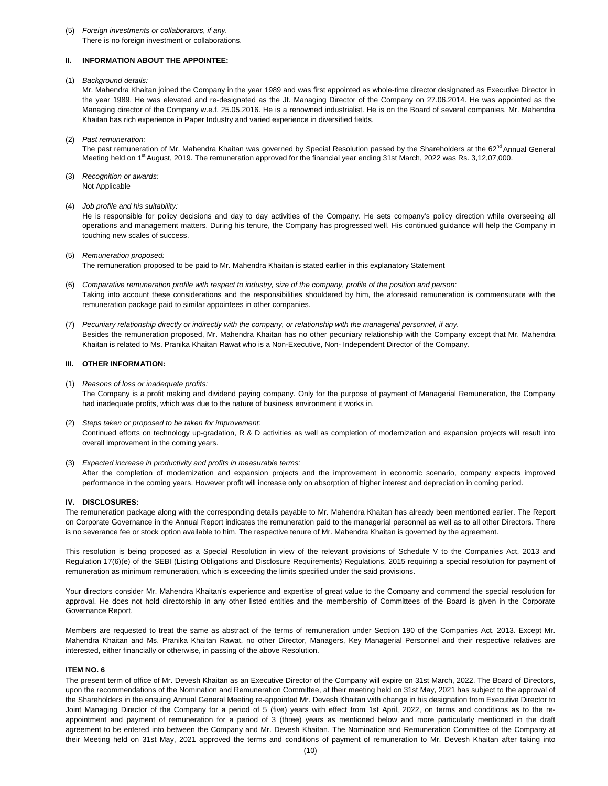#### (5) *Foreign investments or collaborators, if any.* There is no foreign investment or collaborations.

# **II. INFORMATION ABOUT THE APPOINTEE:**

(1) *Background details:*

Mr. Mahendra Khaitan joined the Company in the year 1989 and was first appointed as whole-time director designated as Executive Director in the year 1989. He was elevated and re-designated as the Jt. Managing Director of the Company on 27.06.2014. He was appointed as the Managing director of the Company w.e.f. 25.05.2016. He is a renowned industrialist. He is on the Board of several companies. Mr. Mahendra Khaitan has rich experience in Paper Industry and varied experience in diversified fields.

(2) *Past remuneration:*

The past remuneration of Mr. Mahendra Khaitan was governed by Special Resolution passed by the Shareholders at the 62<sup>nd</sup> Annual General Meeting held on 1<sup>st</sup> August, 2019. The remuneration approved for the financial year ending 31st March, 2022 was Rs. 3,12,07,000.

- (3) *Recognition or awards:*  Not Applicable
- (4) *Job profile and his suitability:*

He is responsible for policy decisions and day to day activities of the Company. He sets company's policy direction while overseeing all operations and management matters. During his tenure, the Company has progressed well. His continued guidance will help the Company in touching new scales of success.

- (5) *Remuneration proposed:* The remuneration proposed to be paid to Mr. Mahendra Khaitan is stated earlier in this explanatory Statement
- (6) *Comparative remuneration profile with respect to industry, size of the company, profile of the position and person:*  Taking into account these considerations and the responsibilities shouldered by him, the aforesaid remuneration is commensurate with the remuneration package paid to similar appointees in other companies.
- (7) *Pecuniary relationship directly or indirectly with the company, or relationship with the managerial personnel, if any.* Besides the remuneration proposed, Mr. Mahendra Khaitan has no other pecuniary relationship with the Company except that Mr. Mahendra Khaitan is related to Ms. Pranika Khaitan Rawat who is a Non-Executive, Non- Independent Director of the Company.

## **III. OTHER INFORMATION:**

- (1) *Reasons of loss or inadequate profits:* The Company is a profit making and dividend paying company. Only for the purpose of payment of Managerial Remuneration, the Company had inadequate profits, which was due to the nature of business environment it works in.
- (2) *Steps taken or proposed to be taken for improvement:* Continued efforts on technology up-gradation, R & D activities as well as completion of modernization and expansion projects will result into overall improvement in the coming years.
- (3) *Expected increase in productivity and profits in measurable terms:* After the completion of modernization and expansion projects and the improvement in economic scenario, company expects improved performance in the coming years. However profit will increase only on absorption of higher interest and depreciation in coming period.

# **IV. DISCLOSURES:**

The remuneration package along with the corresponding details payable to Mr. Mahendra Khaitan has already been mentioned earlier. The Report on Corporate Governance in the Annual Report indicates the remuneration paid to the managerial personnel as well as to all other Directors. There is no severance fee or stock option available to him. The respective tenure of Mr. Mahendra Khaitan is governed by the agreement.

This resolution is being proposed as a Special Resolution in view of the relevant provisions of Schedule V to the Companies Act, 2013 and Regulation 17(6)(e) of the SEBI (Listing Obligations and Disclosure Requirements) Regulations, 2015 requiring a special resolution for payment of remuneration as minimum remuneration, which is exceeding the limits specified under the said provisions.

Your directors consider Mr. Mahendra Khaitan's experience and expertise of great value to the Company and commend the special resolution for approval. He does not hold directorship in any other listed entities and the membership of Committees of the Board is given in the Corporate Governance Report.

Members are requested to treat the same as abstract of the terms of remuneration under Section 190 of the Companies Act, 2013. Except Mr. Mahendra Khaitan and Ms. Pranika Khaitan Rawat, no other Director, Managers, Key Managerial Personnel and their respective relatives are interested, either financially or otherwise, in passing of the above Resolution.

## **ITEM NO. 6**

The present term of office of Mr. Devesh Khaitan as an Executive Director of the Company will expire on 31st March, 2022. The Board of Directors, upon the recommendations of the Nomination and Remuneration Committee, at their meeting held on 31st May, 2021 has subject to the approval of the Shareholders in the ensuing Annual General Meeting re-appointed Mr. Devesh Khaitan with change in his designation from Executive Director to Joint Managing Director of the Company for a period of 5 (five) years with effect from 1st April, 2022, on terms and conditions as to the reappointment and payment of remuneration for a period of 3 (three) years as mentioned below and more particularly mentioned in the draft agreement to be entered into between the Company and Mr. Devesh Khaitan. The Nomination and Remuneration Committee of the Company at their Meeting held on 31st May, 2021 approved the terms and conditions of payment of remuneration to Mr. Devesh Khaitan after taking into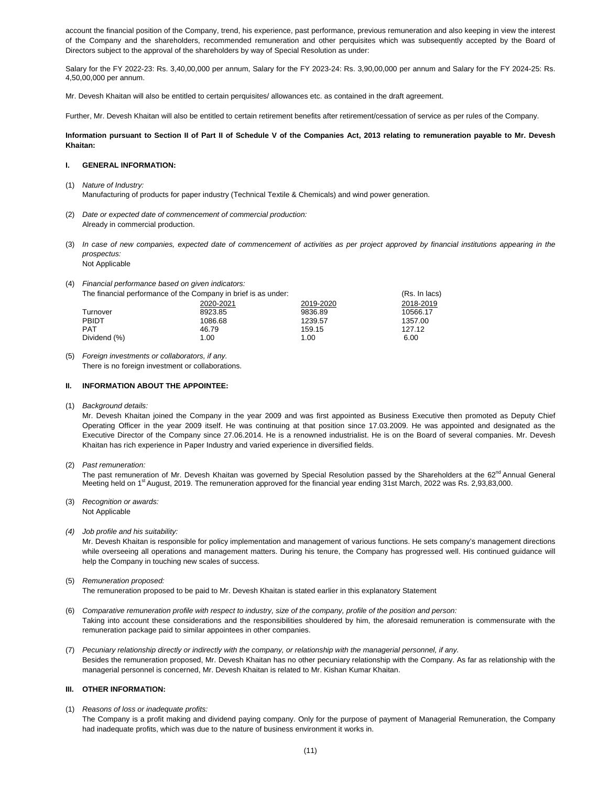account the financial position of the Company, trend, his experience, past performance, previous remuneration and also keeping in view the interest of the Company and the shareholders, recommended remuneration and other perquisites which was subsequently accepted by the Board of Directors subject to the approval of the shareholders by way of Special Resolution as under:

Salary for the FY 2022-23: Rs. 3,40,00,000 per annum, Salary for the FY 2023-24: Rs. 3,90,00,000 per annum and Salary for the FY 2024-25: Rs. 4,50,00,000 per annum.

Mr. Devesh Khaitan will also be entitled to certain perquisites/ allowances etc. as contained in the draft agreement.

Further, Mr. Devesh Khaitan will also be entitled to certain retirement benefits after retirement/cessation of service as per rules of the Company.

## **Information pursuant to Section II of Part II of Schedule V of the Companies Act, 2013 relating to remuneration payable to Mr. Devesh Khaitan:**

#### **I. GENERAL INFORMATION:**

- (1) *Nature of Industry:* Manufacturing of products for paper industry (Technical Textile & Chemicals) and wind power generation.
- (2) *Date or expected date of commencement of commercial production:*  Already in commercial production.
- (3) *In case of new companies, expected date of commencement of activities as per project approved by financial institutions appearing in the prospectus:*  Not Applicable
- (4) *Financial performance based on given indicators:*

The financial performance of the Company in brief is as under: (Rs. In lacs) (Rs. In lacs) 2020-2021 2019-2020 2018-2019 Turnover 8923.85 9836.89 10566.17 PBIDT 1086.68 1086.68 1239.57 1357.00 PAT 127.12 Dividend (%) 1.00 1.00 6.00

(5) *Foreign investments or collaborators, if any.* There is no foreign investment or collaborations.

#### **II. INFORMATION ABOUT THE APPOINTEE:**

(1) *Background details:*

Mr. Devesh Khaitan joined the Company in the year 2009 and was first appointed as Business Executive then promoted as Deputy Chief Operating Officer in the year 2009 itself. He was continuing at that position since 17.03.2009. He was appointed and designated as the Executive Director of the Company since 27.06.2014. He is a renowned industrialist. He is on the Board of several companies. Mr. Devesh Khaitan has rich experience in Paper Industry and varied experience in diversified fields.

(2) *Past remuneration:*

The past remuneration of Mr. Devesh Khaitan was governed by Special Resolution passed by the Shareholders at the 62<sup>nd</sup> Annual General Meeting held on 1<sup>st</sup> August, 2019. The remuneration approved for the financial year ending 31st March, 2022 was Rs. 2,93,83,000.

- (3) *Recognition or awards:*  Not Applicable
- *(4) Job profile and his suitability:*

Mr. Devesh Khaitan is responsible for policy implementation and management of various functions. He sets company's management directions while overseeing all operations and management matters. During his tenure, the Company has progressed well. His continued guidance will help the Company in touching new scales of success.

(5) *Remuneration proposed:*

The remuneration proposed to be paid to Mr. Devesh Khaitan is stated earlier in this explanatory Statement

- (6) *Comparative remuneration profile with respect to industry, size of the company, profile of the position and person:* Taking into account these considerations and the responsibilities shouldered by him, the aforesaid remuneration is commensurate with the remuneration package paid to similar appointees in other companies.
- (7) *Pecuniary relationship directly or indirectly with the company, or relationship with the managerial personnel, if any.*  Besides the remuneration proposed, Mr. Devesh Khaitan has no other pecuniary relationship with the Company. As far as relationship with the managerial personnel is concerned, Mr. Devesh Khaitan is related to Mr. Kishan Kumar Khaitan.

#### **III. OTHER INFORMATION:**

- (1) *Reasons of loss or inadequate profits:* 
	- The Company is a profit making and dividend paying company. Only for the purpose of payment of Managerial Remuneration, the Company had inadequate profits, which was due to the nature of business environment it works in.